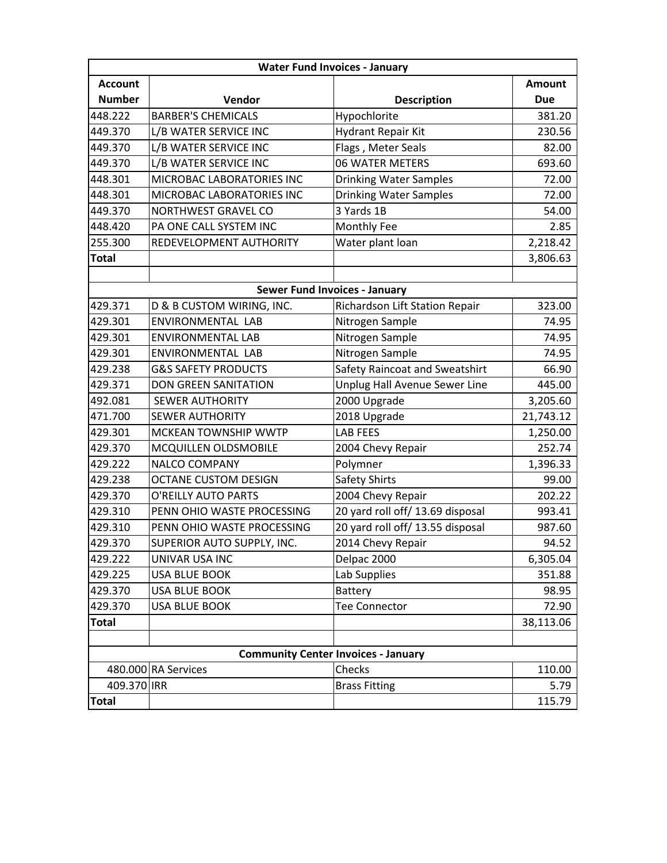| <b>Water Fund Invoices - January</b>       |                                |                                      |               |  |
|--------------------------------------------|--------------------------------|--------------------------------------|---------------|--|
| <b>Account</b>                             |                                |                                      | <b>Amount</b> |  |
| <b>Number</b>                              | Vendor                         | <b>Description</b>                   | <b>Due</b>    |  |
| 448.222                                    | <b>BARBER'S CHEMICALS</b>      | Hypochlorite                         | 381.20        |  |
| 449.370                                    | L/B WATER SERVICE INC          | <b>Hydrant Repair Kit</b>            | 230.56        |  |
| 449.370                                    | L/B WATER SERVICE INC          | Flags, Meter Seals                   | 82.00         |  |
| 449.370                                    | L/B WATER SERVICE INC          | 06 WATER METERS                      | 693.60        |  |
| 448.301                                    | MICROBAC LABORATORIES INC      | <b>Drinking Water Samples</b>        | 72.00         |  |
| 448.301                                    | MICROBAC LABORATORIES INC      | <b>Drinking Water Samples</b>        | 72.00         |  |
| 449.370                                    | NORTHWEST GRAVEL CO            | 3 Yards 1B                           | 54.00         |  |
| 448.420                                    | PA ONE CALL SYSTEM INC         | Monthly Fee                          | 2.85          |  |
| 255.300                                    | REDEVELOPMENT AUTHORITY        | Water plant loan                     | 2,218.42      |  |
| <b>Total</b>                               |                                |                                      | 3,806.63      |  |
|                                            |                                |                                      |               |  |
|                                            |                                | <b>Sewer Fund Invoices - January</b> |               |  |
| 429.371                                    | D & B CUSTOM WIRING, INC.      | Richardson Lift Station Repair       | 323.00        |  |
| 429.301                                    | ENVIRONMENTAL LAB              | Nitrogen Sample                      | 74.95         |  |
| 429.301                                    | <b>ENVIRONMENTAL LAB</b>       | Nitrogen Sample                      | 74.95         |  |
| 429.301                                    | ENVIRONMENTAL LAB              | Nitrogen Sample                      | 74.95         |  |
| 429.238                                    | <b>G&amp;S SAFETY PRODUCTS</b> | Safety Raincoat and Sweatshirt       | 66.90         |  |
| 429.371                                    | <b>DON GREEN SANITATION</b>    | Unplug Hall Avenue Sewer Line        | 445.00        |  |
| 492.081                                    | <b>SEWER AUTHORITY</b>         | 2000 Upgrade                         | 3,205.60      |  |
| 471.700                                    | <b>SEWER AUTHORITY</b>         | 2018 Upgrade                         | 21,743.12     |  |
| 429.301                                    | MCKEAN TOWNSHIP WWTP           | <b>LAB FEES</b>                      | 1,250.00      |  |
| 429.370                                    | MCQUILLEN OLDSMOBILE           | 2004 Chevy Repair                    | 252.74        |  |
| 429.222                                    | <b>NALCO COMPANY</b>           | Polymner                             | 1,396.33      |  |
| 429.238                                    | <b>OCTANE CUSTOM DESIGN</b>    | Safety Shirts                        | 99.00         |  |
| 429.370                                    | O'REILLY AUTO PARTS            | 2004 Chevy Repair                    | 202.22        |  |
| 429.310                                    | PENN OHIO WASTE PROCESSING     | 20 yard roll off/ 13.69 disposal     | 993.41        |  |
| 429.310                                    | PENN OHIO WASTE PROCESSING     | 20 yard roll off/ 13.55 disposal     | 987.60        |  |
| 429.370                                    | SUPERIOR AUTO SUPPLY, INC.     | 2014 Chevy Repair                    | 94.52         |  |
| 429.222                                    | UNIVAR USA INC                 | Delpac 2000                          | 6,305.04      |  |
| 429.225                                    | <b>USA BLUE BOOK</b>           | Lab Supplies                         | 351.88        |  |
| 429.370                                    | <b>USA BLUE BOOK</b>           | Battery                              | 98.95         |  |
| 429.370                                    | <b>USA BLUE BOOK</b>           | <b>Tee Connector</b>                 | 72.90         |  |
| <b>Total</b>                               |                                |                                      | 38,113.06     |  |
|                                            |                                |                                      |               |  |
| <b>Community Center Invoices - January</b> |                                |                                      |               |  |
|                                            | 480.000 RA Services            | Checks                               | 110.00        |  |
| 409.370 IRR                                |                                | <b>Brass Fitting</b>                 | 5.79          |  |
| <b>Total</b>                               |                                |                                      | 115.79        |  |